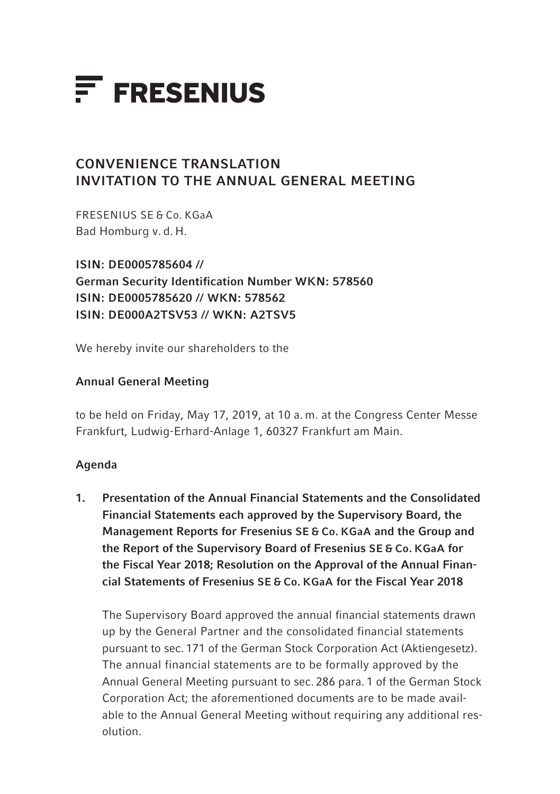

# CONVENIENCE TRANSLATION INVITATION TO THE ANNUAL GENERAL MEETING

FRESENIUS SE & Co. KGaA Bad Homburg v. d. H.

ISIN: DE0005785604 // German Security Identification Number WKN: 578560 ISIN: DE0005785620 // WKN: 578562 ISIN: DE000A2TSV53 // WKN: A2TSV5

We hereby invite our shareholders to the

### Annual General Meeting

to be held on Friday, May 17, 2019, at 10 a. m. at the Congress Center Messe Frankfurt, Ludwig-Erhard-Anlage 1, 60327 Frankfurt am Main.

### Agenda

1. Presentation of the Annual Financial Statements and the Consolidated Financial Statements each approved by the Supervisory Board, the Management Reports for Fresenius SE & Co. KGaA and the Group and the Report of the Supervisory Board of Fresenius SE & Co. KGaA for the Fiscal Year 2018; Resolution on the Approval of the Annual Financial Statements of Fresenius SE & Co. KGaA for the Fiscal Year 2018

The Supervisory Board approved the annual financial statements drawn up by the General Partner and the consolidated financial statements pursuant to sec. 171 of the German Stock Corporation Act (Aktiengesetz). The annual financial statements are to be formally approved by the Annual General Meeting pursuant to sec. 286 para. 1 of the German Stock Corporation Act; the aforementioned documents are to be made available to the Annual General Meeting without requiring any additional resolution.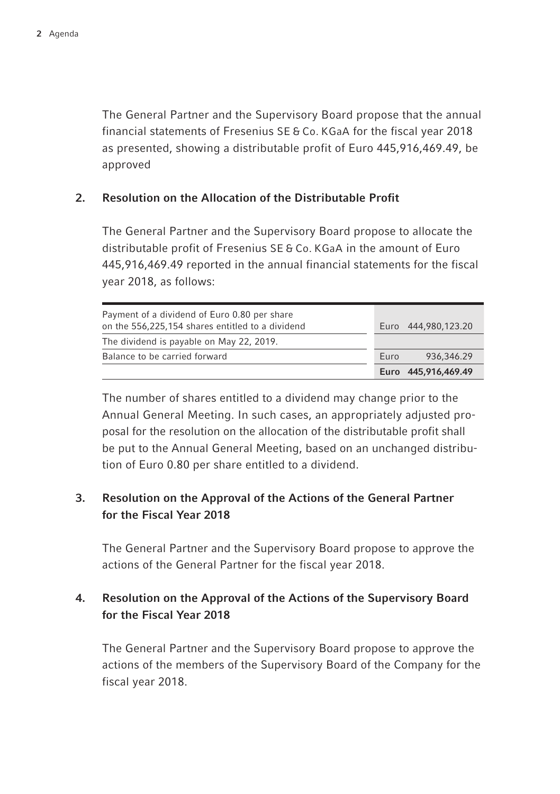The General Partner and the Supervisory Board propose that the annual financial statements of Fresenius SE & Co. KGaA for the fiscal year 2018 as presented, showing a distributable profit of Euro 445,916,469.49, be approved

#### 2. Resolution on the Allocation of the Distributable Profit

The General Partner and the Supervisory Board propose to allocate the distributable profit of Fresenius SE & Co. KGaA in the amount of Euro 445,916,469.49 reported in the annual financial statements for the fiscal year 2018, as follows:

|                                                                                                  |      | Euro 445,916,469.49 |
|--------------------------------------------------------------------------------------------------|------|---------------------|
| Balance to be carried forward                                                                    | Euro | 936,346.29          |
| The dividend is payable on May 22, 2019.                                                         |      |                     |
| Payment of a dividend of Euro 0.80 per share<br>on the 556,225,154 shares entitled to a dividend |      | Euro 444,980,123,20 |

The number of shares entitled to a dividend may change prior to the Annual General Meeting. In such cases, an appropriately adjusted proposal for the resolution on the allocation of the distributable profit shall be put to the Annual General Meeting, based on an unchanged distribution of Euro 0.80 per share entitled to a dividend.

## 3. Resolution on the Approval of the Actions of the General Partner for the Fiscal Year 2018

The General Partner and the Supervisory Board propose to approve the actions of the General Partner for the fiscal year 2018.

## 4. Resolution on the Approval of the Actions of the Supervisory Board for the Fiscal Year 2018

The General Partner and the Supervisory Board propose to approve the actions of the members of the Supervisory Board of the Company for the fiscal year 2018.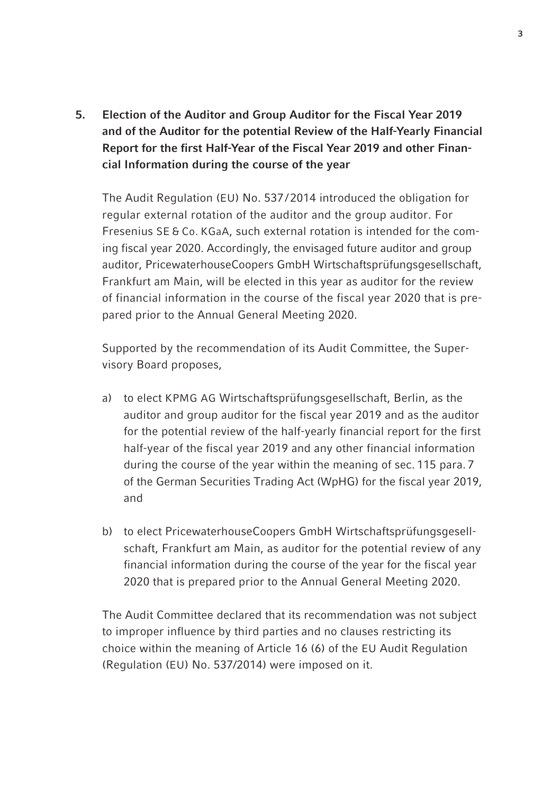5. Election of the Auditor and Group Auditor for the Fiscal Year 2019 and of the Auditor for the potential Review of the Half-Yearly Financial Report for the first Half-Year of the Fiscal Year 2019 and other Financial Information during the course of the year

The Audit Regulation (EU) No. 537/2014 introduced the obligation for regular external rotation of the auditor and the group auditor. For Fresenius SE & Co. KGaA, such external rotation is intended for the coming fiscal year 2020. Accordingly, the envisaged future auditor and group auditor, PricewaterhouseCoopers GmbH Wirtschaftsprüfungsgesellschaft, Frankfurt am Main, will be elected in this year as auditor for the review of financial information in the course of the fiscal year 2020 that is prepared prior to the Annual General Meeting 2020.

Supported by the recommendation of its Audit Committee, the Supervisory Board proposes,

- a) to elect KPMG AG Wirtschaftsprüfungsgesellschaft, Berlin, as the auditor and group auditor for the fiscal year 2019 and as the auditor for the potential review of the half-yearly financial report for the first half-year of the fiscal year 2019 and any other financial information during the course of the year within the meaning of sec. 115 para. 7 of the German Securities Trading Act (WpHG) for the fiscal year 2019, and
- b) to elect PricewaterhouseCoopers GmbH Wirtschaftsprüfungsgesellschaft, Frankfurt am Main, as auditor for the potential review of any financial information during the course of the year for the fiscal year 2020 that is prepared prior to the Annual General Meeting 2020.

 The Audit Committee declared that its recommendation was not subject to improper influence by third parties and no clauses restricting its choice within the meaning of Article 16 (6) of the EU Audit Regulation (Regulation (EU) No. 537/2014) were imposed on it.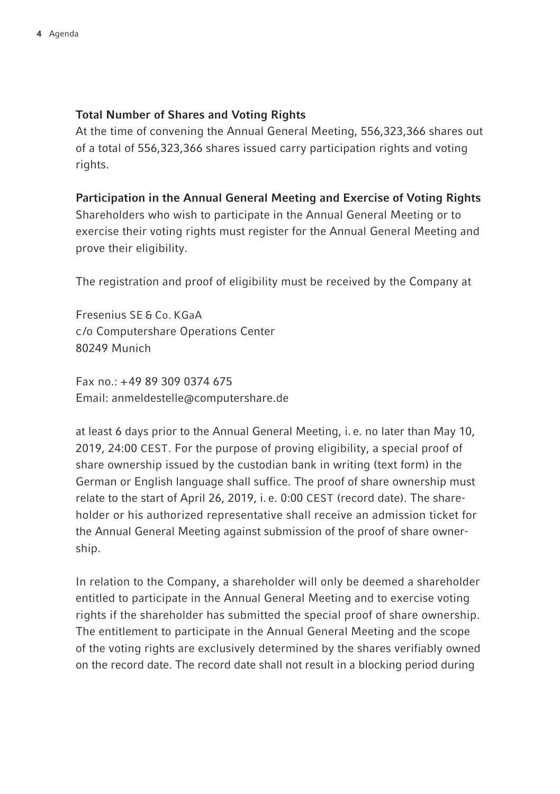## Total Number of Shares and Voting Rights

At the time of convening the Annual General Meeting, 556,323,366 shares out of a total of 556,323,366 shares issued carry participation rights and voting rights.

### Participation in the Annual General Meeting and Exercise of Voting Rights

Shareholders who wish to participate in the Annual General Meeting or to exercise their voting rights must register for the Annual General Meeting and prove their eligibility.

The registration and proof of eligibility must be received by the Company at

Fresenius SE & Co. KGaA c /o Computershare Operations Center 80249 Munich

Fax no.: +49 89 309 0374 675 Email: anmeldestelle@computershare.de

at least 6 days prior to the Annual General Meeting, i. e. no later than May 10, 2019, 24:00 CEST. For the purpose of proving eligibility, a special proof of share ownership issued by the custodian bank in writing (text form) in the German or English language shall suffice. The proof of share ownership must relate to the start of April 26, 2019, i. e. 0:00 CEST (record date). The shareholder or his authorized representative shall receive an admission ticket for the Annual General Meeting against submission of the proof of share ownership.

In relation to the Company, a shareholder will only be deemed a shareholder entitled to participate in the Annual General Meeting and to exercise voting rights if the shareholder has submitted the special proof of share ownership. The entitlement to participate in the Annual General Meeting and the scope of the voting rights are exclusively determined by the shares verifiably owned on the record date. The record date shall not result in a blocking period during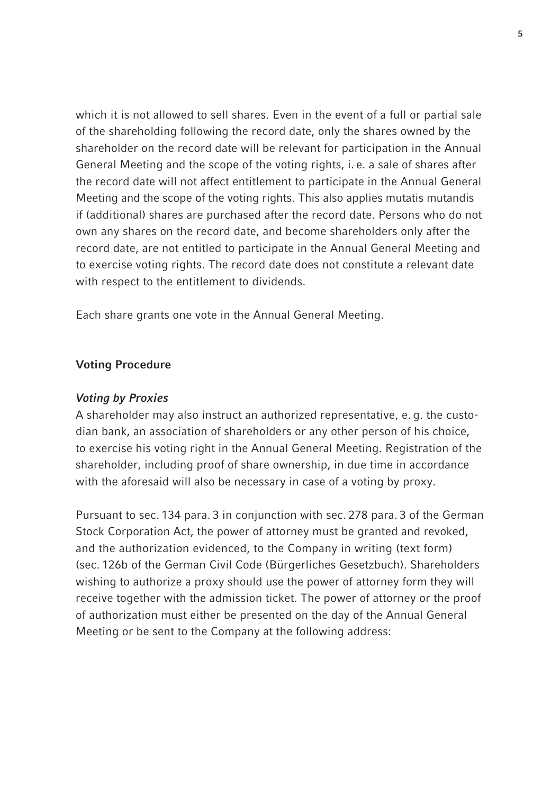which it is not allowed to sell shares. Even in the event of a full or partial sale of the shareholding following the record date, only the shares owned by the shareholder on the record date will be relevant for participation in the Annual General Meeting and the scope of the voting rights, i. e. a sale of shares after the record date will not affect entitlement to participate in the Annual General Meeting and the scope of the voting rights. This also applies mutatis mutandis if (additional) shares are purchased after the record date. Persons who do not own any shares on the record date, and become shareholders only after the record date, are not entitled to participate in the Annual General Meeting and to exercise voting rights. The record date does not constitute a relevant date with respect to the entitlement to dividends.

Each share grants one vote in the Annual General Meeting.

#### Voting Procedure

#### *Voting by Proxies*

A shareholder may also instruct an authorized representative, e. g. the custodian bank, an association of shareholders or any other person of his choice, to exercise his voting right in the Annual General Meeting. Registration of the shareholder, including proof of share ownership, in due time in accordance with the aforesaid will also be necessary in case of a voting by proxy.

Pursuant to sec. 134 para. 3 in conjunction with sec. 278 para. 3 of the German Stock Corporation Act, the power of attorney must be granted and revoked, and the authorization evidenced, to the Company in writing (text form) (sec. 126b of the German Civil Code (Bürgerliches Gesetzbuch). Shareholders wishing to authorize a proxy should use the power of attorney form they will receive together with the admission ticket. The power of attorney or the proof of authorization must either be presented on the day of the Annual General Meeting or be sent to the Company at the following address: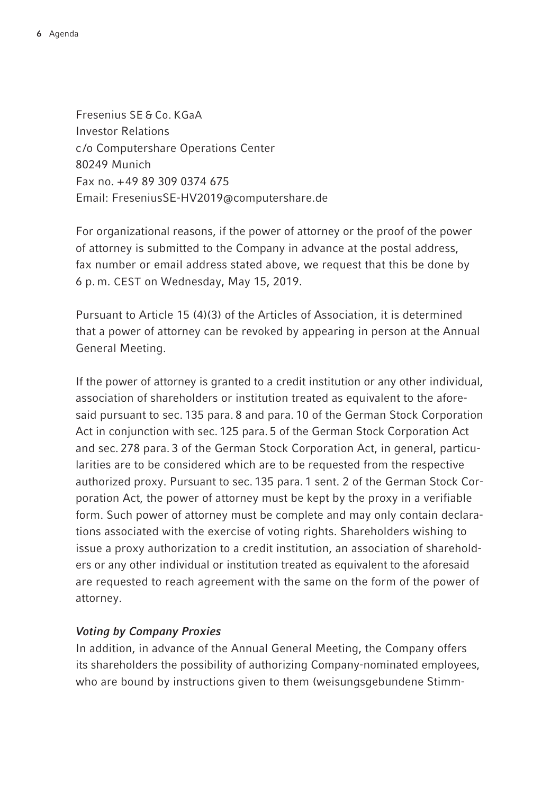Fresenius SE & Co. KGaA Investor Relations c /o Computershare Operations Center 80249 Munich Fax no. +49 89 309 0374 675 Email: FreseniusSE-HV2019@computershare.de

For organizational reasons, if the power of attorney or the proof of the power of attorney is submitted to the Company in advance at the postal address, fax number or email address stated above, we request that this be done by 6 p. m. CEST on Wednesday, May 15, 2019.

Pursuant to Article 15 (4)(3) of the Articles of Association, it is determined that a power of attorney can be revoked by appearing in person at the Annual General Meeting.

If the power of attorney is granted to a credit institution or any other individual, association of shareholders or institution treated as equivalent to the aforesaid pursuant to sec. 135 para. 8 and para. 10 of the German Stock Corporation Act in conjunction with sec. 125 para. 5 of the German Stock Corporation Act and sec. 278 para. 3 of the German Stock Corporation Act, in general, particularities are to be considered which are to be requested from the respective authorized proxy. Pursuant to sec. 135 para. 1 sent. 2 of the German Stock Corporation Act, the power of attorney must be kept by the proxy in a verifiable form. Such power of attorney must be complete and may only contain declarations associated with the exercise of voting rights. Shareholders wishing to issue a proxy authorization to a credit institution, an association of shareholders or any other individual or institution treated as equivalent to the aforesaid are requested to reach agreement with the same on the form of the power of attorney.

## *Voting by Company Proxies*

In addition, in advance of the Annual General Meeting, the Company offers its shareholders the possibility of authorizing Company-nominated employees, who are bound by instructions given to them (weisungsgebundene Stimm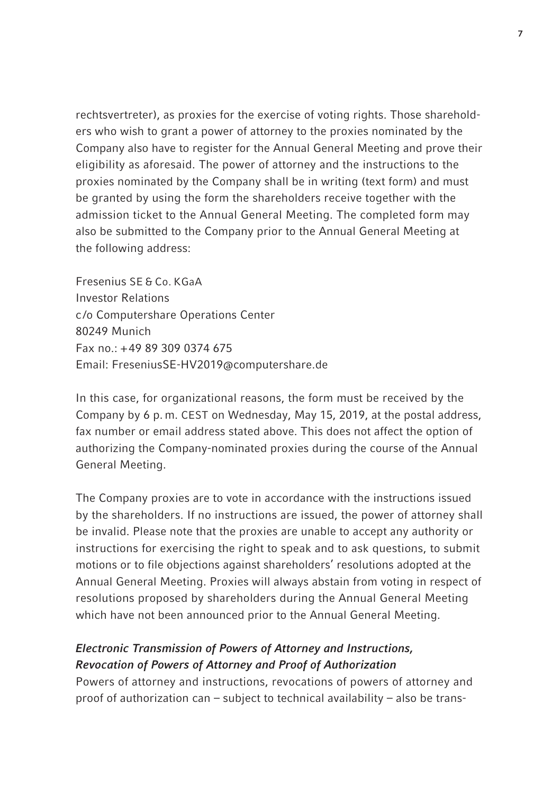rechtsvertreter), as proxies for the exercise of voting rights. Those shareholders who wish to grant a power of attorney to the proxies nominated by the Company also have to register for the Annual General Meeting and prove their eligibility as aforesaid. The power of attorney and the instructions to the proxies nominated by the Company shall be in writing (text form) and must be granted by using the form the shareholders receive together with the admission ticket to the Annual General Meeting. The completed form may also be submitted to the Company prior to the Annual General Meeting at the following address:

Fresenius SE & Co. KGaA Investor Relations c /o Computershare Operations Center 80249 Munich Fax no.: +49 89 309 0374 675 Email: FreseniusSE-HV2019@computershare.de

In this case, for organizational reasons, the form must be received by the Company by 6 p. m. CEST on Wednesday, May 15, 2019, at the postal address, fax number or email address stated above. This does not affect the option of authorizing the Company-nominated proxies during the course of the Annual General Meeting.

The Company proxies are to vote in accordance with the instructions issued by the shareholders. If no instructions are issued, the power of attorney shall be invalid. Please note that the proxies are unable to accept any authority or instructions for exercising the right to speak and to ask questions, to submit motions or to file objections against shareholders' resolutions adopted at the Annual General Meeting. Proxies will always abstain from voting in respect of resolutions proposed by shareholders during the Annual General Meeting which have not been announced prior to the Annual General Meeting.

## *Electronic Transmission of Powers of Attorney and Instructions, Revocation of Powers of Attorney and Proof of Authorization*

Powers of attorney and instructions, revocations of powers of attorney and proof of authorization can – subject to technical availability – also be trans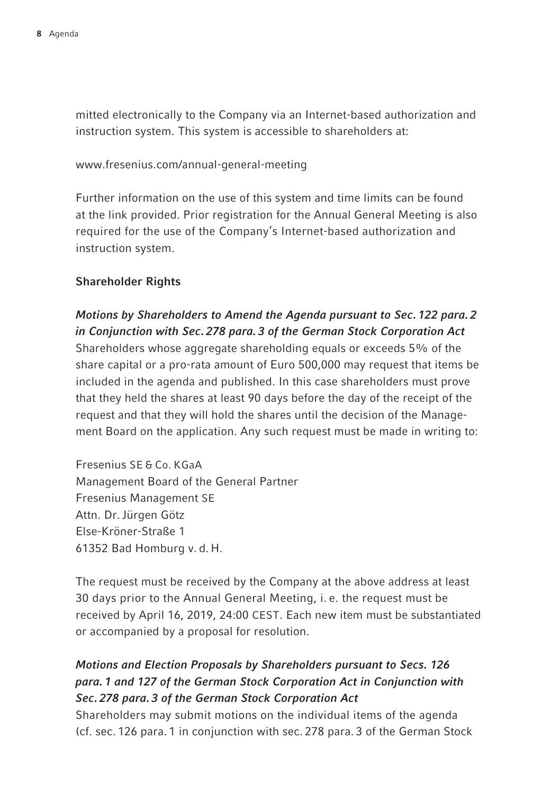mitted electronically to the Company via an Internet-based authorization and instruction system. This system is accessible to shareholders at:

www.fresenius.com/annual-general-meeting

Further information on the use of this system and time limits can be found at the link provided. Prior registration for the Annual General Meeting is also required for the use of the Company's Internet-based authorization and instruction system.

## Shareholder Rights

*Motions by Shareholders to Amend the Agenda pursuant to Sec. 122 para. 2 in Conjunction with Sec. 278 para. 3 of the German Stock Corporation Act* Shareholders whose aggregate shareholding equals or exceeds 5% of the share capital or a pro-rata amount of Euro 500,000 may request that items be included in the agenda and published. In this case shareholders must prove that they held the shares at least 90 days before the day of the receipt of the request and that they will hold the shares until the decision of the Management Board on the application. Any such request must be made in writing to:

Fresenius SE & Co. KGaA Management Board of the General Partner Fresenius Management SE Attn. Dr.Jürgen Götz Else-Kröner-Straße 1 61352 Bad Homburg v. d. H.

The request must be received by the Company at the above address at least 30 days prior to the Annual General Meeting, i. e. the request must be received by April 16, 2019, 24:00 CEST. Each new item must be substantiated or accompanied by a proposal for resolution.

# *Motions and Election Proposals by Shareholders pursuant to Secs. 126 para. 1 and 127 of the German Stock Corporation Act in Conjunction with Sec. 278 para. 3 of the German Stock Corporation Act*

Shareholders may submit motions on the individual items of the agenda (cf. sec. 126 para. 1 in conjunction with sec. 278 para. 3 of the German Stock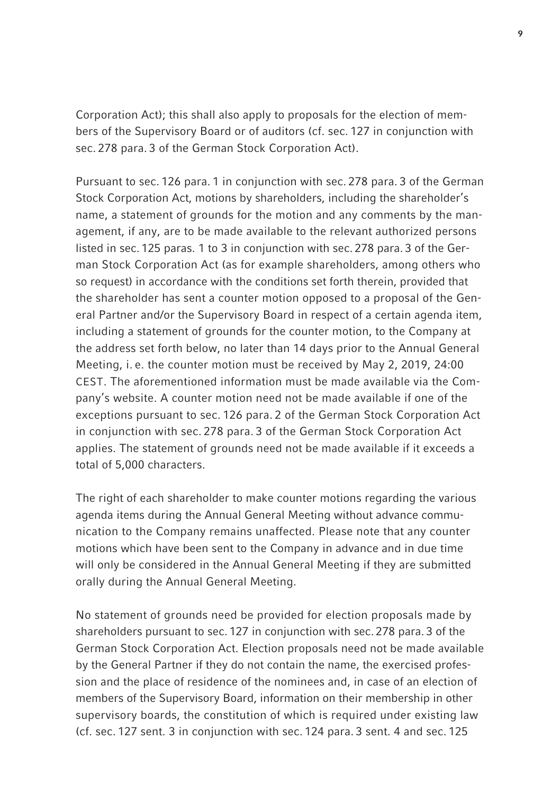Corporation Act); this shall also apply to proposals for the election of members of the Supervisory Board or of auditors (cf. sec. 127 in conjunction with sec. 278 para. 3 of the German Stock Corporation Act).

Pursuant to sec. 126 para. 1 in conjunction with sec. 278 para. 3 of the German Stock Corporation Act, motions by shareholders, including the shareholder's name, a statement of grounds for the motion and any comments by the management, if any, are to be made available to the relevant authorized persons listed in sec. 125 paras. 1 to 3 in conjunction with sec. 278 para. 3 of the German Stock Corporation Act (as for example shareholders, among others who so request) in accordance with the conditions set forth therein, provided that the shareholder has sent a counter motion opposed to a proposal of the General Partner and/or the Supervisory Board in respect of a certain agenda item, including a statement of grounds for the counter motion, to the Company at the address set forth below, no later than 14 days prior to the Annual General Meeting, i. e. the counter motion must be received by May 2, 2019, 24:00 CEST. The aforementioned information must be made available via the Company's website. A counter motion need not be made available if one of the exceptions pursuant to sec. 126 para. 2 of the German Stock Corporation Act in conjunction with sec. 278 para. 3 of the German Stock Corporation Act applies. The statement of grounds need not be made available if it exceeds a total of 5,000 characters.

The right of each shareholder to make counter motions regarding the various agenda items during the Annual General Meeting without advance communication to the Company remains unaffected. Please note that any counter motions which have been sent to the Company in advance and in due time will only be considered in the Annual General Meeting if they are submitted orally during the Annual General Meeting.

No statement of grounds need be provided for election proposals made by shareholders pursuant to sec. 127 in conjunction with sec. 278 para. 3 of the German Stock Corporation Act. Election proposals need not be made available by the General Partner if they do not contain the name, the exercised profession and the place of residence of the nominees and, in case of an election of members of the Supervisory Board, information on their membership in other supervisory boards, the constitution of which is required under existing law (cf. sec. 127 sent. 3 in conjunction with sec. 124 para. 3 sent. 4 and sec. 125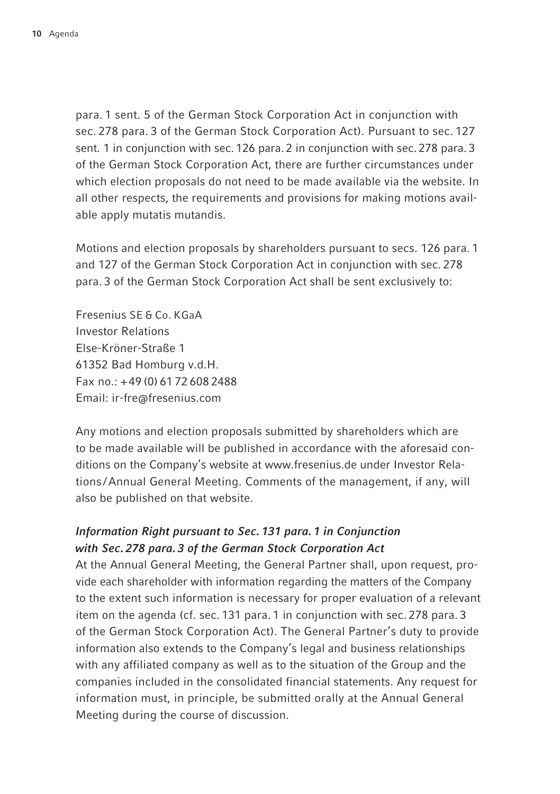para. 1 sent. 5 of the German Stock Corporation Act in conjunction with sec. 278 para. 3 of the German Stock Corporation Act). Pursuant to sec. 127 sent. 1 in conjunction with sec. 126 para. 2 in conjunction with sec. 278 para. 3 of the German Stock Corporation Act, there are further circumstances under which election proposals do not need to be made available via the website. In all other respects, the requirements and provisions for making motions available apply mutatis mutandis.

Motions and election proposals by shareholders pursuant to secs. 126 para. 1 and 127 of the German Stock Corporation Act in conjunction with sec. 278 para. 3 of the German Stock Corporation Act shall be sent exclusively to:

Fresenius SE & Co. KGaA Investor Relations Else-Kröner-Straße 1 61352 Bad Homburg v.d.H. Fax no.: +49 (0) 61 72 608 2488 Email: ir-fre@fresenius.com

Any motions and election proposals submitted by shareholders which are to be made available will be published in accordance with the aforesaid conditions on the Company's website at www.fresenius.de under Investor Relations /Annual General Meeting. Comments of the management, if any, will also be published on that website.

## *Information Right pursuant to Sec. 131 para. 1 in Conjunction with Sec. 278 para. 3 of the German Stock Corporation Act*

At the Annual General Meeting, the General Partner shall, upon request, provide each shareholder with information regarding the matters of the Company to the extent such information is necessary for proper evaluation of a relevant item on the agenda (cf. sec. 131 para. 1 in conjunction with sec. 278 para. 3 of the German Stock Corporation Act). The General Partner's duty to provide information also extends to the Company's legal and business relationships with any affiliated company as well as to the situation of the Group and the companies included in the consolidated financial statements. Any request for information must, in principle, be submitted orally at the Annual General Meeting during the course of discussion.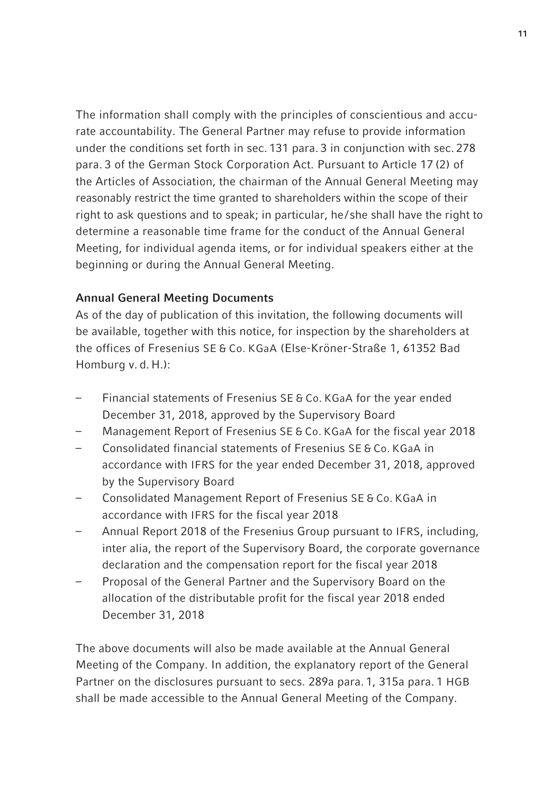The information shall comply with the principles of conscientious and accurate accountability. The General Partner may refuse to provide information under the conditions set forth in sec. 131 para. 3 in conjunction with sec. 278 para. 3 of the German Stock Corporation Act. Pursuant to Article 17 (2) of the Articles of Association, the chairman of the Annual General Meeting may reasonably restrict the time granted to shareholders within the scope of their right to ask questions and to speak; in particular, he/ she shall have the right to determine a reasonable time frame for the conduct of the Annual General Meeting, for individual agenda items, or for individual speakers either at the beginning or during the Annual General Meeting.

#### Annual General Meeting Documents

As of the day of publication of this invitation, the following documents will be available, together with this notice, for inspection by the shareholders at the offices of Fresenius SE & Co. KGaA (Else-Kröner-Straße 1, 61352 Bad Homburg v. d. H.):

- Financial statements of Fresenius SE & Co. KGaA for the year ended December 31, 2018, approved by the Supervisory Board
- Management Report of Fresenius SE & Co. KGaA for the fiscal year 2018
- Consolidated financial statements of Fresenius SE & Co. KGaA in accordance with IFRS for the year ended December 31, 2018, approved by the Supervisory Board
- Consolidated Management Report of Fresenius SE & Co. KGaA in accordance with IFRS for the fiscal year 2018
- Annual Report 2018 of the Fresenius Group pursuant to IFRS, including, inter alia, the report of the Supervisory Board, the corporate governance declaration and the compensation report for the fiscal year 2018
- Proposal of the General Partner and the Supervisory Board on the allocation of the distributable profit for the fiscal year 2018 ended December 31, 2018

The above documents will also be made available at the Annual General Meeting of the Company. In addition, the explanatory report of the General Partner on the disclosures pursuant to secs. 289a para. 1, 315a para. 1 HGB shall be made accessible to the Annual General Meeting of the Company.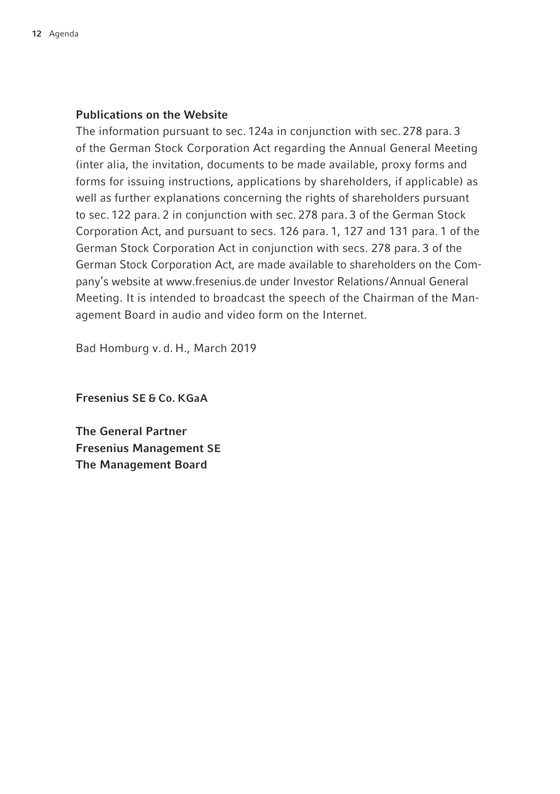#### Publications on the Website

The information pursuant to sec. 124a in conjunction with sec. 278 para. 3 of the German Stock Corporation Act regarding the Annual General Meeting (inter alia, the invitation, documents to be made available, proxy forms and forms for issuing instructions, applications by shareholders, if applicable) as well as further explanations concerning the rights of shareholders pursuant to sec. 122 para. 2 in conjunction with sec. 278 para. 3 of the German Stock Corporation Act, and pursuant to secs. 126 para. 1, 127 and 131 para. 1 of the German Stock Corporation Act in conjunction with secs. 278 para. 3 of the German Stock Corporation Act, are made available to shareholders on the Company's website at www.fresenius.de under Investor Relations/Annual General Meeting. It is intended to broadcast the speech of the Chairman of the Management Board in audio and video form on the Internet.

Bad Homburg v. d. H., March 2019

Fresenius SE & Co. KGaA

The General Partner Fresenius Management SE The Management Board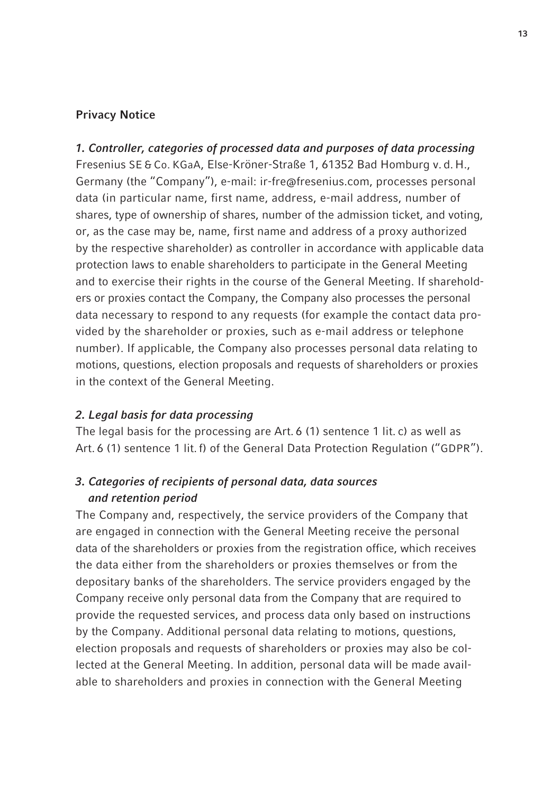#### Privacy Notice

*1. Controller, categories of processed data and purposes of data processing* Fresenius SE & Co. KGaA, Else-Kröner-Straße 1, 61352 Bad Homburg v. d. H., Germany (the "Company"), e-mail: ir-fre@fresenius.com, processes personal data (in particular name, first name, address, e-mail address, number of shares, type of ownership of shares, number of the admission ticket, and voting, or, as the case may be, name, first name and address of a proxy authorized by the respective shareholder) as controller in accordance with applicable data protection laws to enable shareholders to participate in the General Meeting and to exercise their rights in the course of the General Meeting. If shareholders or proxies contact the Company, the Company also processes the personal data necessary to respond to any requests (for example the contact data provided by the shareholder or proxies, such as e-mail address or telephone number). If applicable, the Company also processes personal data relating to motions, questions, election proposals and requests of shareholders or proxies in the context of the General Meeting.

#### *2. Legal basis for data processing*

The legal basis for the processing are Art. 6 (1) sentence 1 lit. c) as well as Art. 6 (1) sentence 1 lit. f) of the General Data Protection Regulation ("GDPR").

## *3. Categories of recipients of personal data, data sources and retention period*

The Company and, respectively, the service providers of the Company that are engaged in connection with the General Meeting receive the personal data of the shareholders or proxies from the registration office, which receives the data either from the shareholders or proxies themselves or from the depositary banks of the shareholders. The service providers engaged by the Company receive only personal data from the Company that are required to provide the requested services, and process data only based on instructions by the Company. Additional personal data relating to motions, questions, election proposals and requests of shareholders or proxies may also be collected at the General Meeting. In addition, personal data will be made available to shareholders and proxies in connection with the General Meeting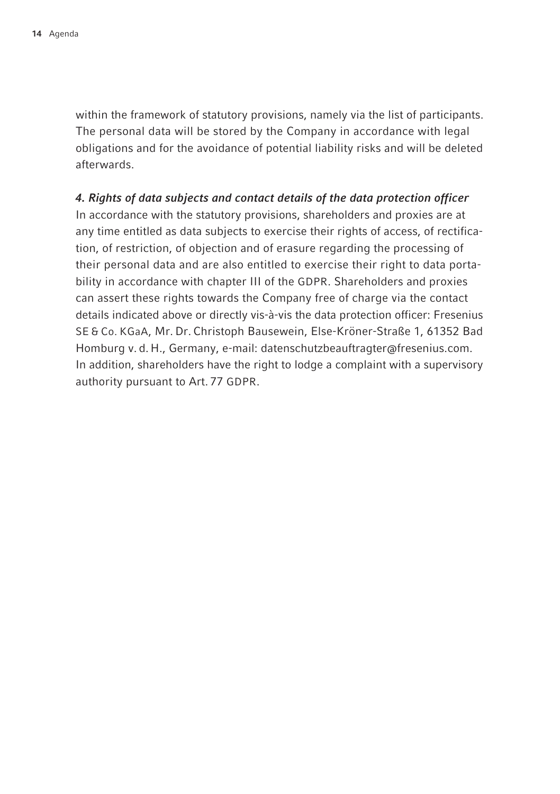within the framework of statutory provisions, namely via the list of participants. The personal data will be stored by the Company in accordance with legal obligations and for the avoidance of potential liability risks and will be deleted afterwards.

### *4. Rights of data subjects and contact details of the data protection officer*

In accordance with the statutory provisions, shareholders and proxies are at any time entitled as data subjects to exercise their rights of access, of rectification, of restriction, of objection and of erasure regarding the processing of their personal data and are also entitled to exercise their right to data portability in accordance with chapter III of the GDPR. Shareholders and proxies can assert these rights towards the Company free of charge via the contact details indicated above or directly vis-à-vis the data protection officer: Fresenius SE & Co. KGaA, Mr. Dr. Christoph Bausewein, Else-Kröner-Straße 1, 61352 Bad Homburg v. d. H., Germany, e-mail: datenschutzbeauftragter@fresenius.com. In addition, shareholders have the right to lodge a complaint with a supervisory authority pursuant to Art. 77 GDPR.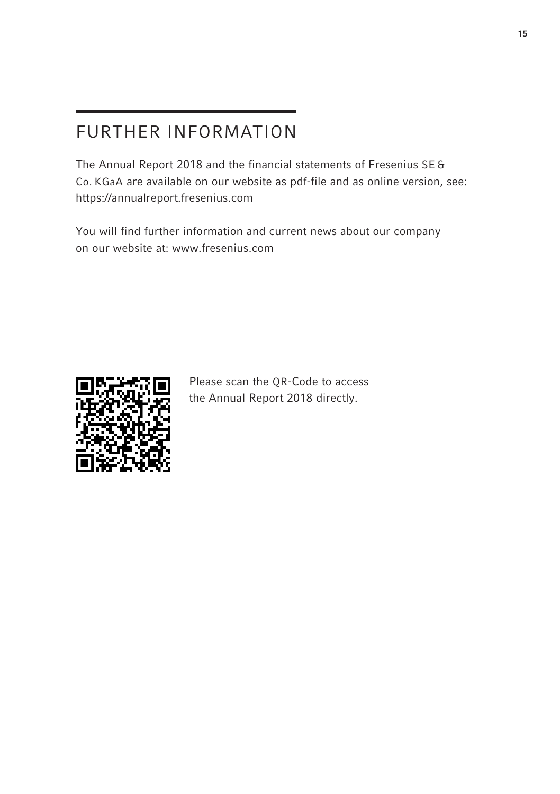# FURTHER INFORMATION

The Annual Report 2018 and the financial statements of Fresenius SE & Co. KGaA are available on our website as pdf-file and as online version, see: https://annualreport.fresenius.com

You will find further information and current news about our company on our website at: www.fresenius.com



Please scan the QR-Code to access the Annual Report 2018 directly.